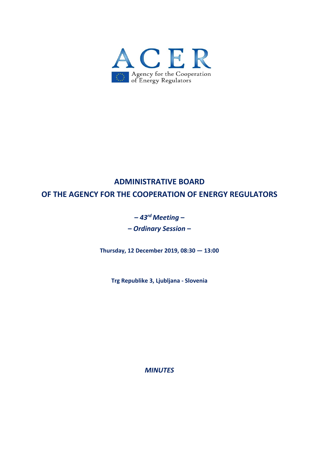

# **ADMINISTRATIVE BOARD OF THE AGENCY FOR THE COOPERATION OF ENERGY REGULATORS**

# **–** *43rd Meeting* **–**

**–** *Ordinary Session* **–** 

**Thursday, 12 December 2019, 08:30 — 13:00** 

**Trg Republike 3, Ljubljana ‐ Slovenia** 

*MINUTES*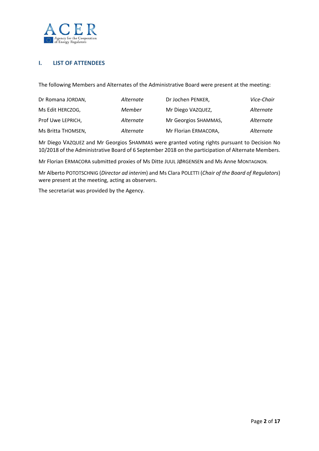

## **I. LIST OF ATTENDEES**

The following Members and Alternates of the Administrative Board were present at the meeting:

| Dr Romana JORDAN,  | Alternate | Dr Jochen PENKER,    | Vice-Chair |
|--------------------|-----------|----------------------|------------|
| Ms Edit HERCZOG,   | Member    | Mr Diego VAZQUEZ,    | Alternate  |
| Prof Uwe LEPRICH,  | Alternate | Mr Georgios SHAMMAS, | Alternate  |
| Ms Britta THOMSEN, | Alternate | Mr Florian ERMACORA, | Alternate  |

Mr Diego VAZQUEZ and Mr Georgios SHAMMAS were granted voting rights pursuant to Decision No 10/2018 of the Administrative Board of 6 September 2018 on the participation of Alternate Members.

Mr Florian ERMACORA submitted proxies of Ms Ditte JUUL JØRGENSEN and Ms Anne MONTAGNON.

Mr Alberto POTOTSCHNIG (*Director ad interim*) and Ms Clara POLETTI (*Chair of the Board of Regulators*) were present at the meeting, acting as observers.

The secretariat was provided by the Agency.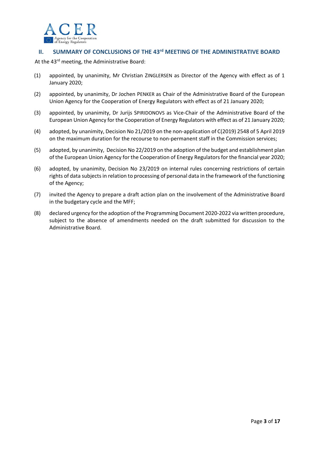

## **II. SUMMARY OF CONCLUSIONS OF THE 43<sup>rd</sup> MEETING OF THE ADMINISTRATIVE BOARD**

At the 43<sup>rd</sup> meeting, the Administrative Board:

- (1) appointed, by unanimity, Mr Christian ZINGLERSEN as Director of the Agency with effect as of 1 January 2020;
- (2) appointed, by unanimity, Dr Jochen PENKER as Chair of the Administrative Board of the European Union Agency for the Cooperation of Energy Regulators with effect as of 21 January 2020;
- (3) appointed, by unanimity, Dr Jurijs SPIRIDONOVS as Vice‐Chair of the Administrative Board of the European Union Agency for the Cooperation of Energy Regulators with effect as of 21 January 2020;
- (4) adopted, by unanimity, Decision No 21/2019 on the non‐application of C(2019) 2548 of 5 April 2019 on the maximum duration for the recourse to non‐permanent staff in the Commission services;
- (5) adopted, by unanimity, Decision No 22/2019 on the adoption of the budget and establishment plan of the European Union Agency for the Cooperation of Energy Regulators for the financial year 2020;
- (6) adopted, by unanimity, Decision No 23/2019 on internal rules concerning restrictions of certain rights of data subjects in relation to processing of personal data in the framework of the functioning of the Agency;
- (7) invited the Agency to prepare a draft action plan on the involvement of the Administrative Board in the budgetary cycle and the MFF;
- (8) declared urgency for the adoption of the Programming Document 2020‐2022 via written procedure, subject to the absence of amendments needed on the draft submitted for discussion to the Administrative Board.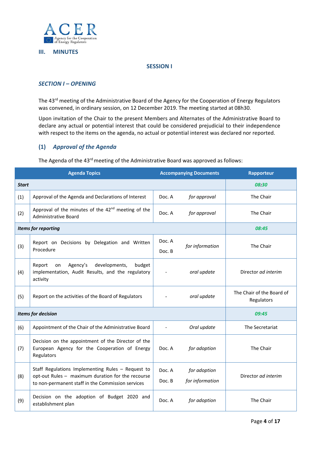

#### **III. MINUTES**

#### **SESSION I**

#### *SECTION I – OPENING*

The 43<sup>rd</sup> meeting of the Administrative Board of the Agency for the Cooperation of Energy Regulators was convened, in ordinary session, on 12 December 2019. The meeting started at 08h30.

Upon invitation of the Chair to the present Members and Alternates of the Administrative Board to declare any actual or potential interest that could be considered prejudicial to their independence with respect to the items on the agenda, no actual or potential interest was declared nor reported.

#### **(1)** *Approval of the Agenda*

The Agenda of the 43<sup>rd</sup> meeting of the Administrative Board was approved as follows:

| <b>Agenda Topics</b>      |                                                                                                                                                             | <b>Accompanying Documents</b> |                                 | Rapporteur                              |  |
|---------------------------|-------------------------------------------------------------------------------------------------------------------------------------------------------------|-------------------------------|---------------------------------|-----------------------------------------|--|
| <b>Start</b>              |                                                                                                                                                             |                               |                                 | 08:30                                   |  |
| (1)                       | Approval of the Agenda and Declarations of Interest                                                                                                         | Doc. A                        | for approval                    | The Chair                               |  |
| (2)                       | Approval of the minutes of the 42 <sup>nd</sup> meeting of the<br><b>Administrative Board</b>                                                               | Doc. A                        | for approval                    | The Chair                               |  |
| Items for reporting       |                                                                                                                                                             |                               |                                 | 08:45                                   |  |
| (3)                       | Report on Decisions by Delegation and Written<br>Procedure                                                                                                  | Doc. A<br>Doc. B              | for information                 | The Chair                               |  |
| (4)                       | Agency's<br>developments,<br>budget<br>Report<br>on<br>implementation, Audit Results, and the regulatory<br>activity                                        |                               | oral update                     | Director ad interim                     |  |
| (5)                       | Report on the activities of the Board of Regulators                                                                                                         |                               | oral update                     | The Chair of the Board of<br>Regulators |  |
| <b>Items for decision</b> |                                                                                                                                                             |                               |                                 | 09:45                                   |  |
| (6)                       | Appointment of the Chair of the Administrative Board                                                                                                        |                               | Oral update                     | The Secretariat                         |  |
| (7)                       | Decision on the appointment of the Director of the<br>European Agency for the Cooperation of Energy<br>Regulators                                           | Doc. A                        | for adoption                    | The Chair                               |  |
| (8)                       | Staff Regulations Implementing Rules - Request to<br>opt-out Rules - maximum duration for the recourse<br>to non-permanent staff in the Commission services | Doc. A<br>Doc. B              | for adoption<br>for information | Director ad interim                     |  |
| (9)                       | Decision on the adoption of Budget 2020 and<br>establishment plan                                                                                           | Doc. A                        | for adoption                    | The Chair                               |  |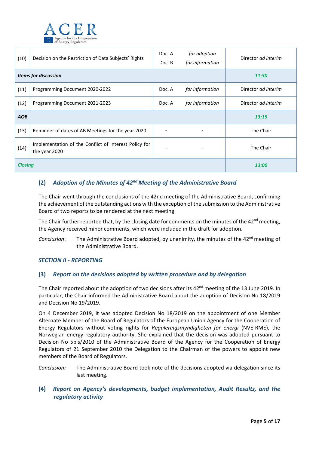

| (10)           | Decision on the Restriction of Data Subjects' Rights                   |        | for adoption<br>for information | Director ad interim |
|----------------|------------------------------------------------------------------------|--------|---------------------------------|---------------------|
|                | <b>Items for discussion</b>                                            | 11:30  |                                 |                     |
| (11)           | Programming Document 2020-2022                                         | Doc. A | for information                 | Director ad interim |
| (12)           | Programming Document 2021-2023                                         | Doc. A | for information                 | Director ad interim |
| <b>AOB</b>     |                                                                        | 13:15  |                                 |                     |
| (13)           | Reminder of dates of AB Meetings for the year 2020                     |        |                                 | The Chair           |
| (14)           | Implementation of the Conflict of Interest Policy for<br>the year 2020 |        |                                 | The Chair           |
| <b>Closing</b> |                                                                        |        | 13:00                           |                     |

# **(2)** *Adoption of the Minutes of 42nd Meeting of the Administrative Board*

The Chair went through the conclusions of the 42nd meeting of the Administrative Board, confirming the achievement of the outstanding actions with the exception of the submission to the Administrative Board of two reports to be rendered at the next meeting.

The Chair further reported that, by the closing date for comments on the minutes of the 42<sup>nd</sup> meeting, the Agency received minor comments, which were included in the draft for adoption.

*Conclusion*: The Administrative Board adopted, by unanimity, the minutes of the 42<sup>nd</sup> meeting of the Administrative Board.

## *SECTION II ‐ REPORTING*

## **(3)** *Report on the decisions adopted by written procedure and by delegation*

The Chair reported about the adoption of two decisions after its  $42<sup>nd</sup>$  meeting of the 13 June 2019. In particular, the Chair informed the Administrative Board about the adoption of Decision No 18/2019 and Decision No 19/2019.

On 4 December 2019, it was adopted Decision No 18/2019 on the appointment of one Member Alternate Member of the Board of Regulators of the European Union Agency for the Cooperation of Energy Regulators without voting rights for *Reguleringsmyndigheten for energi* (NVE‐RME), the Norwegian energy regulatory authority. She explained that the decision was adopted pursuant to Decision No 5bis/2010 of the Administrative Board of the Agency for the Cooperation of Energy Regulators of 21 September 2010 the Delegation to the Chairman of the powers to appoint new members of the Board of Regulators.

*Conclusion:* The Administrative Board took note of the decisions adopted via delegation since its last meeting.

## **(4)** *Report on Agency's developments, budget implementation, Audit Results, and the regulatory activity*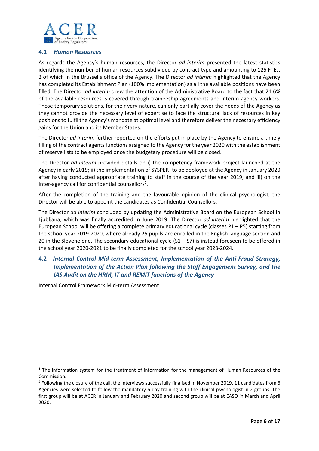

#### **4.1**  *Human Resources*

As regards the Agency's human resources, the Director *ad interim*  presented the latest statistics identifying the number of human resources subdivided by contract type and amounting to 125 FTEs, 2 of which in the Brussel's office of the Agency. The Director *ad interim* highlighted that the Agency has completed its Establishment Plan (100% implementation) as all the available positions have been filled. The Director *ad interim* drew the attention of the Administrative Board to the fact that 21.6% of the available resources is covered through traineeship agreements and interim agency workers. Those temporary solutions, for their very nature, can only partially cover the needs of the Agency as they cannot provide the necessary level of expertise to face the structural lack of resources in key positions to fulfil the Agency's mandate at optimal level and therefore deliver the necessary efficiency gains for the Union and its Member States.

The Director *ad interim* further reported on the efforts put in place by the Agency to ensure a timely filling of the contract agents functions assigned to the Agency for the year 2020 with the establishment of reserve lists to be employed once the budgetary procedure will be closed.

The Director *ad interim* provided details on i) the competency framework project launched at the Agency in early 2019; ii) the implementation of SYSPER<sup>1</sup> to be deployed at the Agency in January 2020 after having conducted appropriate training to staff in the course of the year 2019; and iii) on the Inter-agency call for confidential counsellors<sup>2</sup>.

After the completion of the training and the favourable opinion of the clinical psychologist, the Director will be able to appoint the candidates as Confidential Counsellors.

The Director *ad interim* concluded by updating the Administrative Board on the European School in Ljubljana, which was finally accredited in June 2019. The Director *ad interim*  highlighted that the European School will be offering a complete primary educational cycle (classes P1 – P5) starting from the school year 2019‐2020, where already 25 pupils are enrolled in the English language section and 20 in the Slovene one. The secondary educational cycle  $(S1 – S7)$  is instead foreseen to be offered in the school year 2020‐2021 to be finally completed for the school year 2023‐2024.

# **4.2** *Internal Control Mid‐term Assessment, Implementation of the Anti‐Fraud Strategy, Implementation of the Action Plan following the Staff Engagement Survey, and the IAS Audit on the HRM, IT and REMIT functions of the Agency*

Internal Control Framework Mid‐term Assessment

<sup>&</sup>lt;sup>1</sup> The information system for the treatment of information for the management of Human Resources of the Commission.

 $2$  Following the closure of the call, the interviews successfully finalised in November 2019. 11 candidates from 6 Agencies were selected to follow the mandatory 6‐day training with the clinical psychologist in 2 groups. The first group will be at ACER in January and February 2020 and second group will be at EASO in March and April 2020.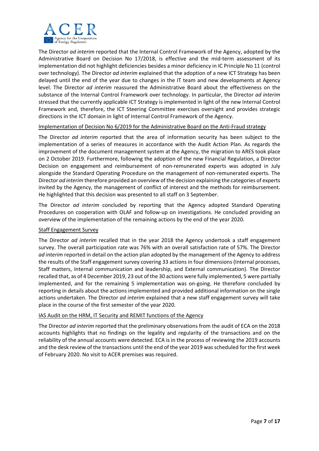

The Director *ad interim* reported that the Internal Control Framework of the Agency, adopted by the Administrative Board on Decision No 17/2018, is effective and the mid-term assessment of its implementation did not highlight deficiencies besides a minor deficiency in IC Principle No 11 (control over technology). The Director *ad interim* explained that the adoption of a new ICT Strategy has been delayed until the end of the year due to changes in the IT team and new developments at Agency level. The Director *ad interim* reassured the Administrative Board about the effectiveness on the substance of the Internal Control Framework over technology. In particular, the Director *ad interim* stressed that the currently applicable ICT Strategy is implemented in light of the new Internal Control Framework and, therefore, the ICT Steering Committee exercises oversight and provides strategic directions in the ICT domain in light of Internal Control Framework of the Agency.

#### Implementation of Decision No 6/2019 for the Administrative Board on the Anti-Fraud strategy

The Director *ad interim* reported that the area of information security has been subject to the implementation of a series of measures in accordance with the Audit Action Plan. As regards the improvement of the document management system at the Agency, the migration to ARES took place on 2 October 2019. Furthermore, following the adoption of the new Financial Regulation, a Director Decision on engagement and reimbursement of non-remunerated experts was adopted in July alongside the Standard Operating Procedure on the management of non‐remunerated experts. The Director *ad interim* therefore provided an overview of the decision explaining the categories of experts invited by the Agency, the management of conflict of interest and the methods for reimbursement. He highlighted that this decision was presented to all staff on 3 September.

The Director *ad interim* concluded by reporting that the Agency adopted Standard Operating Procedures on cooperation with OLAF and follow-up on investigations. He concluded providing an overview of the implementation of the remaining actions by the end of the year 2020.

#### Staff Engagement Survey

The Director *ad interim* recalled that in the year 2018 the Agency undertook a staff engagement survey. The overall participation rate was 76% with an overall satisfaction rate of 57%. The Director *ad interim* reported in detail on the action plan adopted by the management of the Agency to address the results of the Staff engagement survey covering 33 actions in four dimensions (Internal processes, Staff matters, Internal communication and leadership, and External communication). The Director recalled that, as of 4 December 2019, 23 out of the 30 actions were fully implemented, 5 were partially implemented, and for the remaining 5 implementation was on-going. He therefore concluded by reporting in details about the actions implemented and provided additional information on the single actions undertaken. The Director *ad interim* explained that a new staff engagement survey will take place in the course of the first semester of the year 2020.

#### IAS Audit on the HRM, IT Security and REMIT functions of the Agency

The Director *ad interim* reported that the preliminary observations from the audit of ECA on the 2018 accounts highlights that no findings on the legality and regularity of the transactions and on the reliability of the annual accounts were detected. ECA is in the process of reviewing the 2019 accounts and the desk review of the transactions until the end of the year 2019 was scheduled for the first week of February 2020. No visit to ACER premises was required.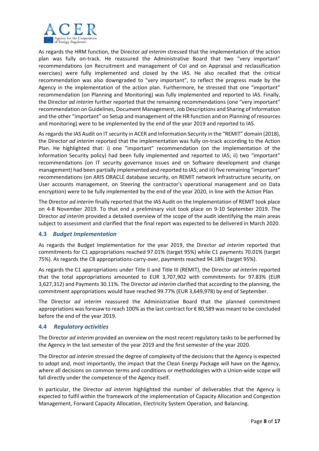

As regards the HRM function, the Director *ad interim* stressed that the implementation of the action plan was fully on-track. He reassured the Administrative Board that two "very important" recommendations (on Recruitment and management of CoI and on Appraisal and reclassification exercises) were fully implemented and closed by the IAS. He also recalled that the critical recommendation was also downgraded to "very important", to reflect the progress made by the Agency in the implementation of the action plan. Furthermore, he stressed that one "important" recommendation (on Planning and Monitoring) was fully implemented and reported to IAS. Finally, the Director *ad interim* further reported that the remaining recommendations (one "very important" recommendation on Guidelines, Document Management, Job Descriptions and Sharing of Information and the other "important" on Setup and management of the HR function and on Planning of resources and monitoring) were to be implemented by the end of the year 2019 and reported to IAS.

As regards the IAS Audit on IT security in ACER and Information Security in the "REMIT" domain (2018), the Director *ad interim* reported that the implementation was fully on-track according to the Action Plan. He highlighted that: i) one "important" recommendation (on the Implementation of the Information Security policy) had been fully implemented and reported to IAS; ii) two "important" recommendations (on IT security governance issues and on Software development and change management) had been partially implemented and reported to IAS; and iii) five remaining "important" recommendations (on ARIS ORACLE database security, on REMIT network infrastructure security, on User accounts management, on Steering the contractor's operational management and on Data encryption) were to be fully implemented by the end of the year 2020, in line with the Action Plan.

The Director *ad interim* finally reported that the IAS Audit on the Implementation of REMIT took place on 4-8 November 2019. To that end a preliminary visit took place on 9-10 September 2019. The Director *ad interim* provided a detailed overview of the scope of the audit identifying the main areas subject to assessment and clarified that the final report was expected to be delivered in March 2020.

## **4.3** *Budget Implementation*

As regards the Budget Implementation for the year 2019, the Director *ad interim*  reported that commitments for C1 appropriations reached 97.01% (target 95%) while C1 payments 70.01% (target 75%). As regards the C8 appropriations‐carry‐over, payments reached 94.18% (target 95%).

As regards the C1 appropriations under Title II and Title III (REMIT), the Director *ad interim* reported that the total appropriations amounted to EUR 3,707,902 with commitments for 97.83% (EUR 3,627,312) and Payments 30.11%. The Director *ad interim* clarified that according to the planning, the commitment appropriations would have reached 99.77% (EUR 3,649,978) by end of September.

The Director *ad interim* reassured the Administrative Board that the planned commitment appropriations was foresaw to reach 100% as the last contract for € 80,589 was meant to be concluded before the end of the year 2019.

#### **4.4** *Regulatory activities*

The Director *ad interim* provided an overview on the most recent regulatory tasks to be performed by the Agency in the last semester of the year 2019 and the first semester of the year 2020.

The Director *ad interim* stressed the degree of complexity of the decisions that the Agency is expected to adopt and, most importantly, the impact that the Clean Energy Package will have on the Agency, where all decisions on common terms and conditions or methodologies with a Union-wide scope will fall directly under the competence of the Agency itself.

In particular, the Director *ad interim* highlighted the number of deliverables that the Agency is expected to fulfil within the framework of the implementation of Capacity Allocation and Congestion Management, Forward Capacity Allocation, Electricity System Operation, and Balancing.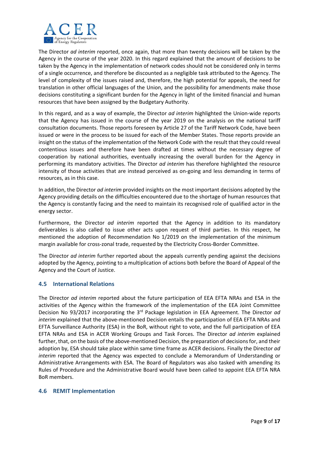

The Director *ad interim* reported, once again, that more than twenty decisions will be taken by the Agency in the course of the year 2020. In this regard explained that the amount of decisions to be taken by the Agency in the implementation of network codes should not be considered only in terms of a single occurrence, and therefore be discounted as a negligible task attributed to the Agency. The level of complexity of the issues raised and, therefore, the high potential for appeals, the need for translation in other official languages of the Union, and the possibility for amendments make those decisions constituting a significant burden for the Agency in light of the limited financial and human resources that have been assigned by the Budgetary Authority.

In this regard, and as a way of example, the Director *ad interim* highlighted the Union-wide reports that the Agency has issued in the course of the year 2019 on the analysis on the national tariff consultation documents. Those reports foreseen by Article 27 of the Tariff Network Code, have been issued or were in the process to be issued for each of the Member States. Those reports provide an insight on the status of the implementation of the Network Code with the result that they could reveal contentious issues and therefore have been drafted at times without the necessary degree of cooperation by national authorities, eventually increasing the overall burden for the Agency in performing its mandatory activities. The Director *ad interim* has therefore highlighted the resource intensity of those activities that are instead perceived as on‐going and less demanding in terms of resources, as in this case.

In addition, the Director *ad interim* provided insights on the most important decisions adopted by the Agency providing details on the difficulties encountered due to the shortage of human resources that the Agency is constantly facing and the need to maintain its recognised role of qualified actor in the energy sector.

Furthermore, the Director *ad interim* reported that the Agency in addition to its mandatory deliverables is also called to issue other acts upon request of third parties. In this respect, he mentioned the adoption of Recommendation No 1/2019 on the implementation of the minimum margin available for cross-zonal trade, requested by the Electricity Cross-Border Committee.

The Director *ad interim* further reported about the appeals currently pending against the decisions adopted by the Agency, pointing to a multiplication of actions both before the Board of Appeal of the Agency and the Court of Justice.

## **4.5 International Relations**

The Director *ad interim* reported about the future participation of EEA EFTA NRAs and ESA in the activities of the Agency within the framework of the implementation of the EEA Joint Committee Decision No 93/2017 incorporating the 3rd Package legislation in EEA Agreement. The Director *ad interim* explained that the above‐mentioned Decision entails the participation of EEA EFTA NRAs and EFTA Surveillance Authority (ESA) in the BoR, without right to vote, and the full participation of EEA EFTA NRAs and ESA in ACER Working Groups and Task Forces. The Director *ad interim*  explained further, that, on the basis of the above-mentioned Decision, the preparation of decisions for, and their adoption by, ESA should take place within same time frame as ACER decisions. Finally the Director *ad interim* reported that the Agency was expected to conclude a Memorandum of Understanding or Administrative Arrangements with ESA. The Board of Regulators was also tasked with amending its Rules of Procedure and the Administrative Board would have been called to appoint EEA EFTA NRA BoR members.

#### **4.6 REMIT Implementation**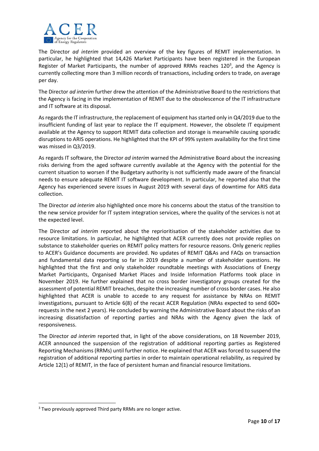

The Director *ad interim*  provided an overview of the key figures of REMIT implementation. In particular, he highlighted that 14,426 Market Participants have been registered in the European Register of Market Participants, the number of approved RRMs reaches 120<sup>3</sup>, and the Agency is currently collecting more than 3 million records of transactions, including orders to trade, on average per day.

The Director *ad interim* further drew the attention of the Administrative Board to the restrictions that the Agency is facing in the implementation of REMIT due to the obsolescence of the IT infrastructure and IT software at its disposal.

As regards the IT infrastructure, the replacement of equipment has started only in Q4/2019 due to the insufficient funding of last year to replace the IT equipment. However, the obsolete IT equipment available at the Agency to support REMIT data collection and storage is meanwhile causing sporadic disruptions to ARIS operations. He highlighted that the KPI of 99% system availability for the first time was missed in Q3/2019.

As regards IT software, the Director *ad interim* warned the Administrative Board about the increasing risks deriving from the aged software currently available at the Agency with the potential for the current situation to worsen if the Budgetary authority is not sufficiently made aware of the financial needs to ensure adequate REMIT IT software development. In particular, he reported also that the Agency has experienced severe issues in August 2019 with several days of downtime for ARIS data collection.

The Director *ad interim* also highlighted once more his concerns about the status of the transition to the new service provider for IT system integration services, where the quality of the services is not at the expected level.

The Director *ad interim*  reported about the reprioritisation of the stakeholder activities due to resource limitations. In particular, he highlighted that ACER currently does not provide replies on substance to stakeholder queries on REMIT policy matters for resource reasons. Only generic replies to ACER's Guidance documents are provided. No updates of REMIT Q&As and FAQs on transaction and fundamental data reporting so far in 2019 despite a number of stakeholder questions. He highlighted that the first and only stakeholder roundtable meetings with Associations of Energy Market Participants, Organised Market Places and Inside Information Platforms took place in November 2019. He further explained that no cross border investigatory groups created for the assessment of potential REMIT breaches, despite the increasing number of cross border cases. He also highlighted that ACER is unable to accede to any request for assistance by NRAs on REMIT investigations, pursuant to Article 6(8) of the recast ACER Regulation (NRAs expected to send 600+ requests in the next 2 years). He concluded by warning the Administrative Board about the risks of an increasing dissatisfaction of reporting parties and NRAs with the Agency given the lack of responsiveness.

The Director *ad interim* reported that, in light of the above considerations, on 18 November 2019, ACER announced the suspension of the registration of additional reporting parties as Registered Reporting Mechanisms (RRMs) until further notice. He explained that ACER was forced to suspend the registration of additional reporting parties in order to maintain operational reliability, as required by Article 12(1) of REMIT, in the face of persistent human and financial resource limitations.

<sup>&</sup>lt;sup>3</sup> Two previously approved Third party RRMs are no longer active.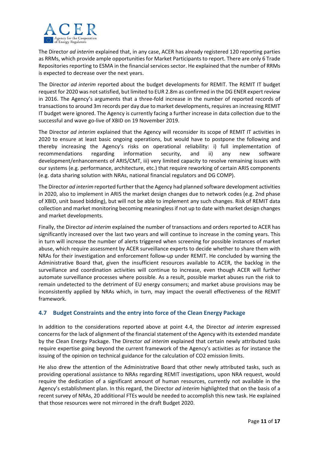

The Director *ad interim* explained that, in any case, ACER has already registered 120 reporting parties as RRMs, which provide ample opportunities for Market Participants to report. There are only 6 Trade Repositories reporting to ESMA in the financial services sector. He explained that the number of RRMs is expected to decrease over the next years.

The Director *ad interim* reported about the budget developments for REMIT. The REMIT IT budget request for 2020 was not satisfied, but limited to EUR 2.8m as confirmed in the DG ENER expert review in 2016. The Agency's arguments that a three-fold increase in the number of reported records of transactions to around 3m records per day due to market developments, requires an increasing REMIT IT budget were ignored. The Agency is currently facing a further increase in data collection due to the successful and wave go-live of XBID on 19 November 2019.

The Director *ad interim* explained that the Agency will reconsider its scope of REMIT IT activities in 2020 to ensure at least basic ongoing operations, but would have to postpone the following and thereby increasing the Agency's risks on operational reliability: i) full implementation of recommendations regarding information security, and ii) any new software development/enhancements of ARIS/CMT, iii) very limited capacity to resolve remaining issues with our systems (e.g. performance, architecture, etc.) that require reworking of certain ARIS components (e.g. data sharing solution with NRAs, national financial regulators and DG COMP).

The Director *ad interim* reported further that the Agency had planned software development activities in 2020, also to implement in ARIS the market design changes due to network codes (e.g. 2nd phase of XBID, unit based bidding), but will not be able to implement any such changes. Risk of REMIT data collection and market monitoring becoming meaningless if not up to date with market design changes and market developments.

Finally, the Director *ad interim* explained the number of transactions and orders reported to ACER has significantly increased over the last two years and will continue to increase in the coming years. This in turn will increase the number of alerts triggered when screening for possible instances of market abuse, which require assessment by ACER surveillance experts to decide whether to share them with NRAs for their investigation and enforcement follow‐up under REMIT. He concluded by warning the Administrative Board that, given the insufficient resources available to ACER, the backlog in the surveillance and coordination activities will continue to increase, even though ACER will further automate surveillance processes where possible. As a result, possible market abuses run the risk to remain undetected to the detriment of EU energy consumers; and market abuse provisions may be inconsistently applied by NRAs which, in turn, may impact the overall effectiveness of the REMIT framework.

## **4.7 Budget Constraints and the entry into force of the Clean Energy Package**

In addition to the considerations reported above at point 4.4, the Director *ad interim* expressed concerns for the lack of alignment of the financial statement of the Agency with its extended mandate by the Clean Energy Package. The Director *ad interim* explained that certain newly attributed tasks require expertise going beyond the current framework of the Agency's activities as for instance the issuing of the opinion on technical guidance for the calculation of CO2 emission limits.

He also drew the attention of the Administrative Board that other newly attributed tasks, such as providing operational assistance to NRAs regarding REMIT investigations, upon NRA request, would require the dedication of a significant amount of human resources, currently not available in the Agency's establishment plan. In this regard, the Director *ad interim* highlighted that on the basis of a recent survey of NRAs, 20 additional FTEs would be needed to accomplish this new task. He explained that those resources were not mirrored in the draft Budget 2020.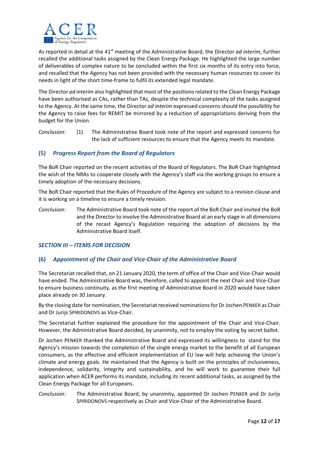

As reported in detail at the 41<sup>st</sup> meeting of the Administrative Board, the Director *ad interim*, further recalled the additional tasks assigned by the Clean Energy Package. He highlighted the large number of deliverables of complex nature to be concluded within the first six months of its entry into force, and recalled that the Agency has not been provided with the necessary human resources to cover its needs in light of the short time‐frame to fulfil its extended legal mandate.

The Director *ad interim* also highlighted that most of the positions related to the Clean Energy Package have been authorised as CAs, rather than TAs, despite the technical complexity of the tasks assigned to the Agency. At the same time, the Director *ad interim* expressed concerns should the possibility for the Agency to raise fees for REMIT be mirrored by a reduction of appropriations deriving from the budget for the Union.

*Conclusion:* (1) The Administrative Board took note of the report and expressed concerns for the lack of sufficient resources to ensure that the Agency meets its mandate.

## **(5)** *Progress Report from the Board of Regulators*

The BoR Chair reported on the recent activities of the Board of Regulators. The BoR Chair highlighted the wish of the NRAs to cooperate closely with the Agency's staff via the working groups to ensure a timely adoption of the necessary decisions.

The BoR Chair reported that the Rules of Procedure of the Agency are subject to a revision clause and it is working on a timeline to ensure a timely revision.

*Conclusion:* The Administrative Board took note of the report of the BoR Chair and invited the BoR and the Director to involve the Administrative Board at an early stage in all dimensions of the recast Agency's Regulation requiring the adoption of decisions by the Administrative Board itself.

## *SECTION III – ITEMS FOR DECISION*

## **(6)** *Appointment of the Chair and Vice‐Chair of the Administrative Board*

The Secretariat recalled that, on 21 January 2020, the term of office of the Chair and Vice‐Chair would have ended. The Administrative Board was, therefore, called to appoint the next Chair and Vice-Chair to ensure business continuity, as the first meeting of Administrative Board in 2020 would have taken place already on 30 January.

By the closing date for nomination, the Secretariat received nominations for Dr Jochen PENKER as Chair and Dr Jurijs SPIRIDONOVS as Vice‐Chair.

The Secretariat further explained the procedure for the appointment of the Chair and Vice-Chair. However, the Administrative Board decided, by unanimity, not to employ the voting by secret ballot.

Dr Jochen PENKER thanked the Administrative Board and expressed its willingness to stand for the Agency's mission towards the completion of the single energy market to the benefit of all European consumers, as the effective and efficient implementation of EU law will help achieving the Union's climate and energy goals. He maintained that the Agency is built on the principles of inclusiveness, independence, solidarity, integrity and sustainability, and he will work to guarantee their full application when ACER performs its mandate, including its recent additional tasks, as assigned by the Clean Energy Package for all Europeans.

*Conclusion:* The Administrative Board, by unanimity, appointed Dr Jochen PENKER and Dr Jurijs SPIRIDONOVS respectively as Chair and Vice‐Chair of the Administrative Board.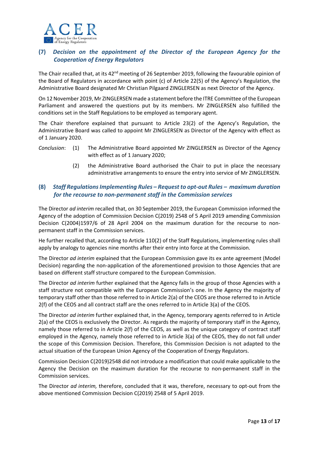

## **(7)** *Decision on the appointment of the Director of the European Agency for the Cooperation of Energy Regulators*

The Chair recalled that, at its  $42<sup>nd</sup>$  meeting of 26 September 2019, following the favourable opinion of the Board of Regulators in accordance with point (c) of Article 22(5) of the Agency's Regulation, the Administrative Board designated Mr Christian Pilgaard ZINGLERSEN as next Director of the Agency.

On 12 November 2019, Mr ZINGLERSEN made a statement before the ITRE Committee of the European Parliament and answered the questions put by its members. Mr ZINGLERSEN also fulfilled the conditions set in the Staff Regulations to be employed as temporary agent.

The Chair therefore explained that pursuant to Article 23(2) of the Agency's Regulation, the Administrative Board was called to appoint Mr ZINGLERSEN as Director of the Agency with effect as of 1 January 2020.

- *Conclusion*: (1) The Administrative Board appointed Mr ZINGLERSEN as Director of the Agency with effect as of 1 January 2020;
	- (2) the Administrative Board authorised the Chair to put in place the necessary administrative arrangements to ensure the entry into service of Mr ZINGLERSEN.

# **(8)** *Staff Regulations Implementing Rules – Request to opt‐out Rules – maximum duration for the recourse to non‐permanent staff in the Commission services*

The Director *ad interim* recalled that, on 30 September 2019, the European Commission informed the Agency of the adoption of Commission Decision C(2019) 2548 of 5 April 2019 amending Commission Decision C(2004)1597/6 of 28 April 2004 on the maximum duration for the recourse to nonpermanent staff in the Commission services.

He further recalled that, according to Article 110(2) of the Staff Regulations, implementing rules shall apply by analogy to agencies nine months after their entry into force at the Commission.

The Director *ad interim* explained that the European Commission gave its ex ante agreement (Model Decision) regarding the non‐application of the aforementioned provision to those Agencies that are based on different staff structure compared to the European Commission.

The Director *ad interim* further explained that the Agency falls in the group of those Agencies with a staff structure not compatible with the European Commission's one. In the Agency the majority of temporary staff other than those referred to in Article 2(a) of the CEOS are those referred to in Article 2(f) of the CEOS and all contract staff are the ones referred to in Article 3(a) of the CEOS.

The Director *ad interim* further explained that, in the Agency, temporary agents referred to in Article 2(a) of the CEOS is exclusively the Director. As regards the majority of temporary staff in the Agency, namely those referred to in Article 2(f) of the CEOS, as well as the unique category of contract staff employed in the Agency, namely those referred to in Article 3(a) of the CEOS, they do not fall under the scope of this Commission Decision. Therefore, this Commission Decision is not adapted to the actual situation of the European Union Agency of the Cooperation of Energy Regulators.

Commission Decision C(2019)2548 did not introduce a modification that could make applicable to the Agency the Decision on the maximum duration for the recourse to non-permanent staff in the Commission services.

The Director *ad interim*, therefore, concluded that it was, therefore, necessary to opt-out from the above mentioned Commission Decision C(2019) 2548 of 5 April 2019.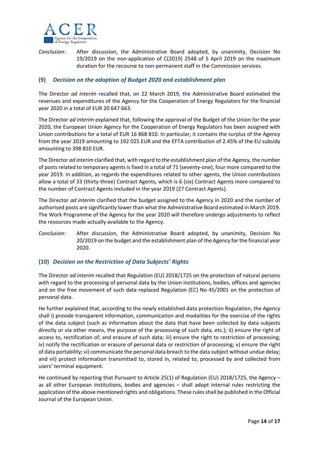

*Conclusion*: After discussion, the Administrative Board adopted, by unanimity, Decision No 19/2019 on the non-application of C(2019) 2548 of 5 April 2019 on the maximum duration for the recourse to non‐permanent staff in the Commission services.

## **(9)** *Decision on the adoption of Budget 2020 and establishment plan*

The Director *ad interim* recalled that, on 22 March 2019, the Administrative Board estimated the revenues and expenditures of the Agency for the Cooperation of Energy Regulators for the financial year 2020 in a total of EUR 20 647 663.

The Director *ad interim* explained that, following the approval of the Budget of the Union for the year 2020, the European Union Agency for the Cooperation of Energy Regulators has been assigned with Union contributions for a total of EUR 16 868 810. In particular, it contains the surplus of the Agency from the year 2019 amounting to 192 025 EUR and the EFTA contribution of 2.45% of the EU subsidy amounting to 398 810 EUR.

The Director *ad interim* clarified that, with regard to the establishment plan of the Agency, the number of posts related to temporary agents is fixed in a total of 71 (seventy‐one), four more compared to the year 2019. In addition, as regards the expenditures related to other agents, the Union contributions allow a total of 33 (thirty-three) Contract Agents, which is 6 (six) Contract Agents more compared to the number of Contract Agents included in the year 2019 (27 Contract Agents).

The Director *ad interim* clarified that the budget assigned to the Agency in 2020 and the number of authorised posts are significantly lower than what the Administrative Board estimated in March 2019. The Work Programme of the Agency for the year 2020 will therefore undergo adjustments to reflect the resources made actually available to the Agency.

*Conclusion:*  After discussion, the Administrative Board adopted, by unanimity, Decision No 20/2019 on the budget and the establishment plan of the Agency for the financial year 2020.

## **(10)** *Decision on the Restriction of Data Subjects' Rights*

The Director *ad interim* recalled that Regulation (EU) 2018/1725 on the protection of natural persons with regard to the processing of personal data by the Union institutions, bodies, offices and agencies and on the free movement of such data replaced Regulation (EC) No 45/2001 on the protection of personal data.

He further explained that, according to the newly established data protection Regulation, the Agency shall i) provide transparent information, communication and modalities for the exercise of the rights of the data subject (such as information about the data that have been collected by data subjects directly or via other means, the purpose of the processing of such data, etc.); ii) ensure the right of access to, rectification of; and erasure of such data; iii) ensure the right to restriction of processing; iv) notify the rectification or erasure of personal data or restriction of processing; v) ensure the right of data portability; vi) communicate the personal data breach to the data subject without undue delay; and vii) protect information transmitted to, stored in, related to, processed by and collected from users' terminal equipment.

He continued by reporting that Pursuant to Article 25(1) of Regulation (EU) 2018/1725, the Agency – as all other European institutions, bodies and agencies – shall adopt internal rules restricting the application of the above mentioned rights and obligations. These rules shall be published in the Official Journal of the European Union.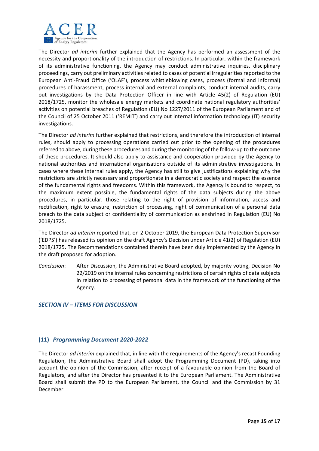

The Director *ad interim*  further explained that the Agency has performed an assessment of the necessity and proportionality of the introduction of restrictions. In particular, within the framework of its administrative functioning, the Agency may conduct administrative inquiries, disciplinary proceedings, carry out preliminary activities related to cases of potential irregularities reported to the European Anti-Fraud Office ('OLAF'), process whistleblowing cases, process (formal and informal) procedures of harassment, process internal and external complaints, conduct internal audits, carry out investigations by the Data Protection Officer in line with Article 45(2) of Regulation (EU) 2018/1725, monitor the wholesale energy markets and coordinate national regulatory authorities' activities on potential breaches of Regulation (EU) No 1227/2011 of the European Parliament and of the Council of 25 October 2011 ('REMIT') and carry out internal information technology (IT) security investigations.

The Director *ad interim* further explained that restrictions, and therefore the introduction of internal rules, should apply to processing operations carried out prior to the opening of the procedures referred to above, during these procedures and during the monitoring of the follow‐up to the outcome of these procedures. It should also apply to assistance and cooperation provided by the Agency to national authorities and international organisations outside of its administrative investigations. In cases where these internal rules apply, the Agency has still to give justifications explaining why the restrictions are strictly necessary and proportionate in a democratic society and respect the essence of the fundamental rights and freedoms. Within this framework, the Agency is bound to respect, to the maximum extent possible, the fundamental rights of the data subjects during the above procedures, in particular, those relating to the right of provision of information, access and rectification, right to erasure, restriction of processing, right of communication of a personal data breach to the data subject or confidentiality of communication as enshrined in Regulation (EU) No 2018/1725.

The Director *ad interim* reported that, on 2 October 2019, the European Data Protection Supervisor ('EDPS') has released its opinion on the draft Agency's Decision under Article 41(2) of Regulation (EU) 2018/1725. The Recommendations contained therein have been duly implemented by the Agency in the draft proposed for adoption.

*Conclusion*: After Discussion, the Administrative Board adopted, by majority voting, Decision No 22/2019 on the internal rules concerning restrictions of certain rights of data subjects in relation to processing of personal data in the framework of the functioning of the Agency.

## *SECTION IV – ITEMS FOR DISCUSSION*

## **(11)** *Programming Document 2020‐2022*

The Director *ad interim* explained that, in line with the requirements of the Agency's recast Founding Regulation, the Administrative Board shall adopt the Programming Document (PD), taking into account the opinion of the Commission, after receipt of a favourable opinion from the Board of Regulators, and after the Director has presented it to the European Parliament. The Administrative Board shall submit the PD to the European Parliament, the Council and the Commission by 31 December.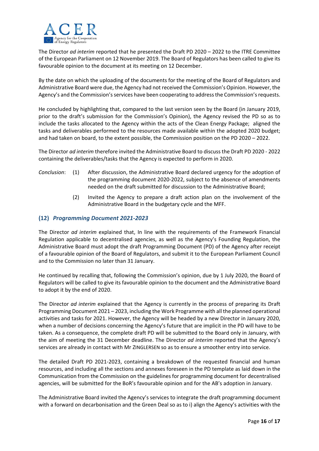

The Director *ad interim* reported that he presented the Draft PD 2020 – 2022 to the ITRE Committee of the European Parliament on 12 November 2019. The Board of Regulators has been called to give its favourable opinion to the document at its meeting on 12 December.

By the date on which the uploading of the documents for the meeting of the Board of Regulators and Administrative Board were due, the Agency had not received the Commission's Opinion. However, the Agency's and the Commission's services have been cooperating to address the Commission's requests.

He concluded by highlighting that, compared to the last version seen by the Board (in January 2019, prior to the draft's submission for the Commission's Opinion), the Agency revised the PD so as to include the tasks allocated to the Agency within the acts of the Clean Energy Package; aligned the tasks and deliverables performed to the resources made available within the adopted 2020 budget; and had taken on board, to the extent possible, the Commission position on the PD 2020 – 2022.

The Director *ad interim* therefore invited the Administrative Board to discuss the Draft PD 2020 ‐ 2022 containing the deliverables/tasks that the Agency is expected to perform in 2020.

- *Conclusion*: (1) After discussion, the Administrative Board declared urgency for the adoption of the programming document 2020‐2022, subject to the absence of amendments needed on the draft submitted for discussion to the Administrative Board;
	- (2) Invited the Agency to prepare a draft action plan on the involvement of the Administrative Board in the budgetary cycle and the MFF.

## **(12)** *Programming Document 2021‐2023*

The Director *ad interim* explained that, In line with the requirements of the Framework Financial Regulation applicable to decentralised agencies, as well as the Agency's Founding Regulation, the Administrative Board must adopt the draft Programming Document (PD) of the Agency after receipt of a favourable opinion of the Board of Regulators, and submit it to the European Parliament Council and to the Commission no later than 31 January.

He continued by recalling that, following the Commission's opinion, due by 1 July 2020, the Board of Regulators will be called to give its favourable opinion to the document and the Administrative Board to adopt it by the end of 2020.

The Director *ad interim* explained that the Agency is currently in the process of preparing its Draft Programming Document 2021 – 2023, including the Work Programme with all the planned operational activities and tasks for 2021. However, the Agency will be headed by a new Director in January 2020, when a number of decisions concerning the Agency's future that are implicit in the PD will have to be taken. As a consequence, the complete draft PD will be submitted to the Board only in January, with the aim of meeting the 31 December deadline. The Director *ad interim* reported that the Agency's services are already in contact with Mr ZINGLERSEN so as to ensure a smoother entry into service.

The detailed Draft PD 2021-2023, containing a breakdown of the requested financial and human resources, and including all the sections and annexes foreseen in the PD template as laid down in the Communication from the Commission on the guidelines for programming document for decentralised agencies, will be submitted for the BoR's favourable opinion and for the AB's adoption in January.

The Administrative Board invited the Agency's services to integrate the draft programming document with a forward on decarbonisation and the Green Deal so as to i) align the Agency's activities with the